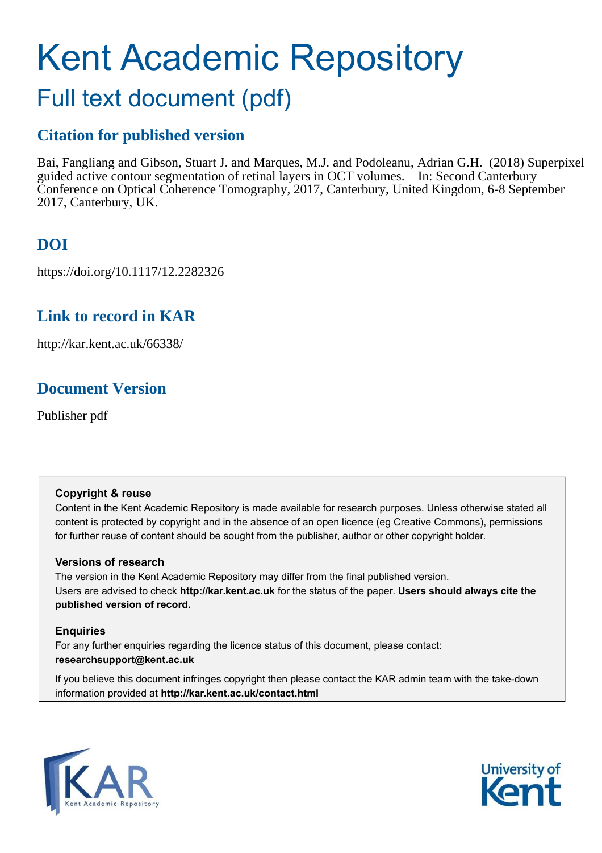# Kent Academic Repository

## Full text document (pdf)

## **Citation for published version**

Bai, Fangliang and Gibson, Stuart J. and Marques, M.J. and Podoleanu, Adrian G.H. (2018) Superpixel guided active contour segmentation of retinal layers in OCT volumes. In: Second Canterbury Conference on Optical Coherence Tomography, 2017, Canterbury, United Kingdom, 6-8 September 2017, Canterbury, UK.

## **DOI**

https://doi.org/10.1117/12.2282326

## **Link to record in KAR**

http://kar.kent.ac.uk/66338/

## **Document Version**

Publisher pdf

#### **Copyright & reuse**

Content in the Kent Academic Repository is made available for research purposes. Unless otherwise stated all content is protected by copyright and in the absence of an open licence (eg Creative Commons), permissions for further reuse of content should be sought from the publisher, author or other copyright holder.

#### **Versions of research**

The version in the Kent Academic Repository may differ from the final published version. Users are advised to check **http://kar.kent.ac.uk** for the status of the paper. **Users should always cite the published version of record.**

#### **Enquiries**

For any further enquiries regarding the licence status of this document, please contact: **researchsupport@kent.ac.uk**

If you believe this document infringes copyright then please contact the KAR admin team with the take-down information provided at **http://kar.kent.ac.uk/contact.html**



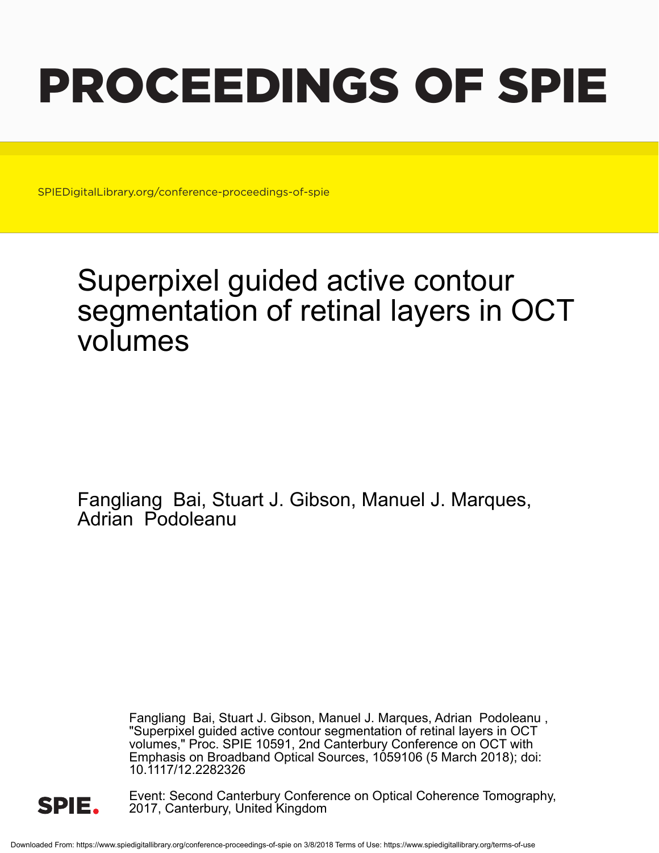# PROCEEDINGS OF SPIE

SPIEDigitalLibrary.org/conference-proceedings-of-spie

## Superpixel guided active contour segmentation of retinal layers in OCT volumes

Fangliang Bai, Stuart J. Gibson, Manuel J. Marques, Adrian Podoleanu

> Fangliang Bai, Stuart J. Gibson, Manuel J. Marques, Adrian Podoleanu , "Superpixel guided active contour segmentation of retinal layers in OCT volumes," Proc. SPIE 10591, 2nd Canterbury Conference on OCT with Emphasis on Broadband Optical Sources, 1059106 (5 March 2018); doi: 10.1117/12.2282326



Event: Second Canterbury Conference on Optical Coherence Tomography, 2017, Canterbury, United Kingdom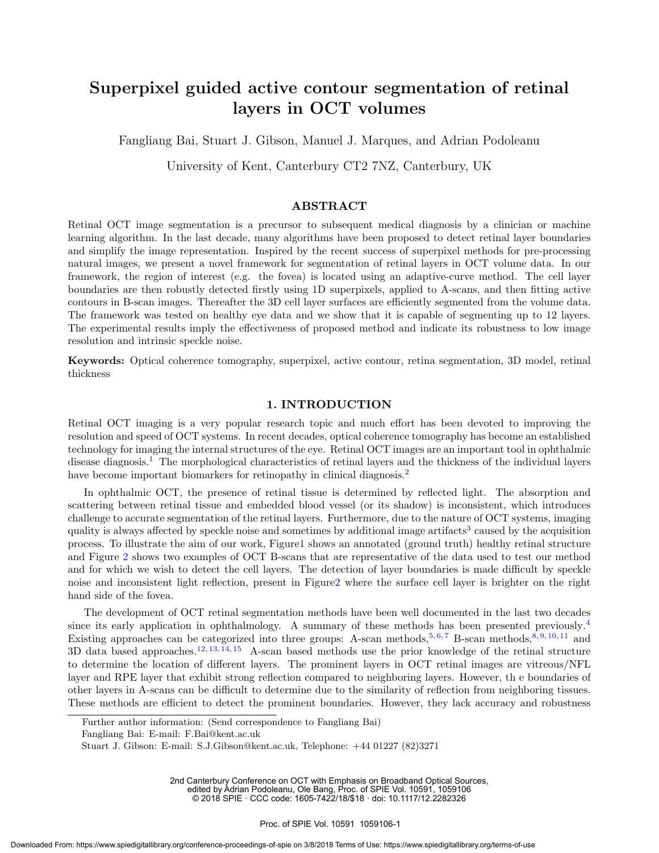### Superpixel guided active contour segmentation of retinal layers in OCT volumes

Fangliang Bai, Stuart J. Gibson, Manuel J. Marques, and Adrian Podoleanu

University of Kent, Canterbury CT2 7NZ, Canterbury, UK

#### ABSTRACT

Retinal OCT image segmentation is a precursor to subsequent medical diagnosis by a clinician or machine learning algorithm. In the last decade, many algorithms have been proposed to detect retinal layer boundaries and simplify the image representation. Inspired by the recent success of superpixel methods for pre-processing natural images, we present a novel framework for segmentation of retinal layers in OCT volume data. In our framework, the region of interest (e.g. the fovea) is located using an adaptive-curve method. The cell layer boundaries are then robustly detected firstly using 1D superpixels, applied to A-scans, and then fitting active contours in B-scan images. Thereafter the 3D cell layer surfaces are efficiently segmented from the volume data. The framework was tested on healthy eye data and we show that it is capable of segmenting up to 12 layers. The experimental results imply the effectiveness of proposed method and indicate its robustness to low image resolution and intrinsic speckle noise.

Keywords: Optical coherence tomography, superpixel, active contour, retina segmentation, 3D model, retinal thickness

#### 1. INTRODUCTION

Retinal OCT imaging is a very popular research topic and much effort has been devoted to improving the resolution and speed of OCT systems. In recent decades, optical coherence tomography has become an established technology for imaging the internal structures of the eye. Retinal OCT images are an important tool in ophthalmic disease diagnosis.<sup>1</sup> The morphological characteristics of retinal layers and the thickness of the individual layers have become important biomarkers for retinopathy in clinical diagnosis.<sup>2</sup>

In ophthalmic OCT, the presence of retinal tissue is determined by reflected light. The absorption and scattering between retinal tissue and embedded blood vessel (or its shadow) is inconsistent, which introduces challenge to accurate segmentation of the retinal layers. Furthermore, due to the nature of OCT systems, imaging quality is always affected by speckle noise and sometimes by additional image artifacts<sup>3</sup> caused by the acquisition process. To illustrate the aim of our work, Figure1 shows an annotated (ground truth) healthy retinal structure and Figure 2 shows two examples of OCT B-scans that are representative of the data used to test our method and for which we wish to detect the cell layers. The detection of layer boundaries is made difficult by speckle noise and inconsistent light reflection, present in Figure2 where the surface cell layer is brighter on the right hand side of the fovea.

The development of OCT retinal segmentation methods have been well documented in the last two decades since its early application in ophthalmology. A summary of these methods has been presented previously.<sup>4</sup> Existing approaches can be categorized into three groups: A-scan methods,<sup>5,6,7</sup> B-scan methods,<sup>8,9,10,11</sup> and  $3D$  data based approaches.<sup>12, 13, 14, 15</sup> A-scan based methods use the prior knowledge of the retinal structure to determine the location of different layers. The prominent layers in OCT retinal images are vitreous/NFL layer and RPE layer that exhibit strong reflection compared to neighboring layers. However, th e boundaries of other layers in A-scans can be difficult to determine due to the similarity of reflection from neighboring tissues. These methods are efficient to detect the prominent boundaries. However, they lack accuracy and robustness

2nd Canterbury Conference on OCT with Emphasis on Broadband Optical Sources, edited by Adrian Podoleanu, Ole Bang, Proc. of SPIE Vol. 10591, 1059106

© 2018 SPIE : CCC code: 1605-7422/18/\$18 : doi: 10.1117/12.2282326

Further author information: (Send correspondence to Fangliang Bai)

Fangliang Bai: E-mail: F.Bai@kent.ac.uk

Stuart J. Gibson: E-mail: S.J.Gibson@kent.ac.uk, Telephone: +44 01227 (82)3271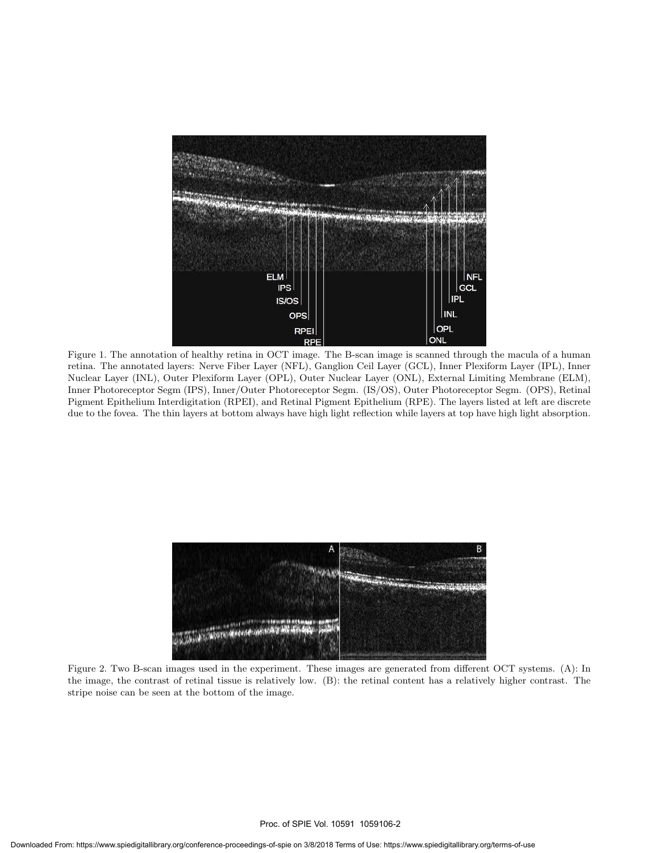

Figure 1. The annotation of healthy retina in OCT image. The B-scan image is scanned through the macula of a human retina. The annotated layers: Nerve Fiber Layer (NFL), Ganglion Ceil Layer (GCL), Inner Plexiform Layer (IPL), Inner Nuclear Layer (INL), Outer Plexiform Layer (OPL), Outer Nuclear Layer (ONL), External Limiting Membrane (ELM), Inner Photoreceptor Segm (IPS), Inner/Outer Photoreceptor Segm. (IS/OS), Outer Photoreceptor Segm. (OPS), Retinal Pigment Epithelium Interdigitation (RPEI), and Retinal Pigment Epithelium (RPE). The layers listed at left are discrete due to the fovea. The thin layers at bottom always have high light reflection while layers at top have high light absorption.



Figure 2. Two B-scan images used in the experiment. These images are generated from different OCT systems. (A): In the image, the contrast of retinal tissue is relatively low. (B): the retinal content has a relatively higher contrast. The stripe noise can be seen at the bottom of the image.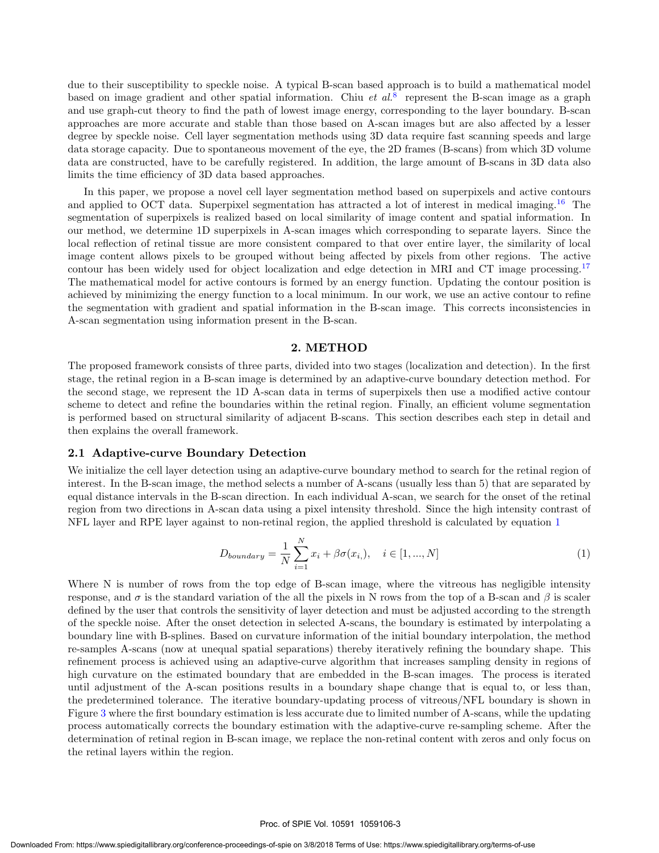due to their susceptibility to speckle noise. A typical B-scan based approach is to build a mathematical model based on image gradient and other spatial information. Chiu *et al.*<sup>8</sup> represent the B-scan image as a graph and use graph-cut theory to find the path of lowest image energy, corresponding to the layer boundary. B-scan approaches are more accurate and stable than those based on A-scan images but are also affected by a lesser degree by speckle noise. Cell layer segmentation methods using 3D data require fast scanning speeds and large data storage capacity. Due to spontaneous movement of the eye, the 2D frames (B-scans) from which 3D volume data are constructed, have to be carefully registered. In addition, the large amount of B-scans in 3D data also limits the time efficiency of 3D data based approaches.

In this paper, we propose a novel cell layer segmentation method based on superpixels and active contours and applied to OCT data. Superpixel segmentation has attracted a lot of interest in medical imaging.<sup>16</sup> The segmentation of superpixels is realized based on local similarity of image content and spatial information. In our method, we determine 1D superpixels in A-scan images which corresponding to separate layers. Since the local reflection of retinal tissue are more consistent compared to that over entire layer, the similarity of local image content allows pixels to be grouped without being affected by pixels from other regions. The active contour has been widely used for object localization and edge detection in MRI and CT image processing.<sup>17</sup> The mathematical model for active contours is formed by an energy function. Updating the contour position is achieved by minimizing the energy function to a local minimum. In our work, we use an active contour to refine the segmentation with gradient and spatial information in the B-scan image. This corrects inconsistencies in A-scan segmentation using information present in the B-scan.

#### 2. METHOD

The proposed framework consists of three parts, divided into two stages (localization and detection). In the first stage, the retinal region in a B-scan image is determined by an adaptive-curve boundary detection method. For the second stage, we represent the 1D A-scan data in terms of superpixels then use a modified active contour scheme to detect and refine the boundaries within the retinal region. Finally, an efficient volume segmentation is performed based on structural similarity of adjacent B-scans. This section describes each step in detail and then explains the overall framework.

#### 2.1 Adaptive-curve Boundary Detection

We initialize the cell layer detection using an adaptive-curve boundary method to search for the retinal region of interest. In the B-scan image, the method selects a number of A-scans (usually less than 5) that are separated by equal distance intervals in the B-scan direction. In each individual A-scan, we search for the onset of the retinal region from two directions in A-scan data using a pixel intensity threshold. Since the high intensity contrast of NFL layer and RPE layer against to non-retinal region, the applied threshold is calculated by equation 1

$$
D_{boundary} = \frac{1}{N} \sum_{i=1}^{N} x_i + \beta \sigma(x_i), \quad i \in [1, ..., N]
$$
 (1)

Where N is number of rows from the top edge of B-scan image, where the vitreous has negligible intensity response, and  $\sigma$  is the standard variation of the all the pixels in N rows from the top of a B-scan and  $\beta$  is scaler defined by the user that controls the sensitivity of layer detection and must be adjusted according to the strength of the speckle noise. After the onset detection in selected A-scans, the boundary is estimated by interpolating a boundary line with B-splines. Based on curvature information of the initial boundary interpolation, the method re-samples A-scans (now at unequal spatial separations) thereby iteratively refining the boundary shape. This refinement process is achieved using an adaptive-curve algorithm that increases sampling density in regions of high curvature on the estimated boundary that are embedded in the B-scan images. The process is iterated until adjustment of the A-scan positions results in a boundary shape change that is equal to, or less than, the predetermined tolerance. The iterative boundary-updating process of vitreous/NFL boundary is shown in Figure 3 where the first boundary estimation is less accurate due to limited number of A-scans, while the updating process automatically corrects the boundary estimation with the adaptive-curve re-sampling scheme. After the determination of retinal region in B-scan image, we replace the non-retinal content with zeros and only focus on the retinal layers within the region.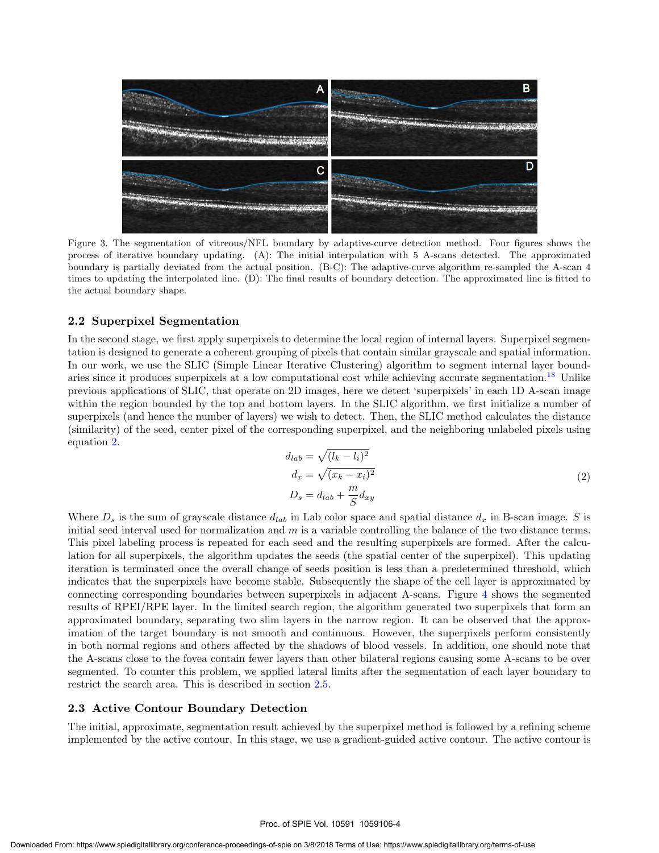

Figure 3. The segmentation of vitreous/NFL boundary by adaptive-curve detection method. Four figures shows the process of iterative boundary updating. (A): The initial interpolation with 5 A-scans detected. The approximated boundary is partially deviated from the actual position. (B-C): The adaptive-curve algorithm re-sampled the A-scan 4 times to updating the interpolated line. (D): The final results of boundary detection. The approximated line is fitted to the actual boundary shape.

#### 2.2 Superpixel Segmentation

In the second stage, we first apply superpixels to determine the local region of internal layers. Superpixel segmentation is designed to generate a coherent grouping of pixels that contain similar grayscale and spatial information. In our work, we use the SLIC (Simple Linear Iterative Clustering) algorithm to segment internal layer boundaries since it produces superpixels at a low computational cost while achieving accurate segmentation.<sup>18</sup> Unlike previous applications of SLIC, that operate on 2D images, here we detect 'superpixels' in each 1D A-scan image within the region bounded by the top and bottom layers. In the SLIC algorithm, we first initialize a number of superpixels (and hence the number of layers) we wish to detect. Then, the SLIC method calculates the distance (similarity) of the seed, center pixel of the corresponding superpixel, and the neighboring unlabeled pixels using equation 2.

$$
d_{lab} = \sqrt{(l_k - l_i)^2}
$$
  
\n
$$
d_x = \sqrt{(x_k - x_i)^2}
$$
  
\n
$$
D_s = d_{lab} + \frac{m}{S} d_{xy}
$$
\n(2)

Where  $D_s$  is the sum of grayscale distance  $d_{lab}$  in Lab color space and spatial distance  $d_x$  in B-scan image. S is initial seed interval used for normalization and  $m$  is a variable controlling the balance of the two distance terms. This pixel labeling process is repeated for each seed and the resulting superpixels are formed. After the calculation for all superpixels, the algorithm updates the seeds (the spatial center of the superpixel). This updating iteration is terminated once the overall change of seeds position is less than a predetermined threshold, which indicates that the superpixels have become stable. Subsequently the shape of the cell layer is approximated by connecting corresponding boundaries between superpixels in adjacent A-scans. Figure 4 shows the segmented results of RPEI/RPE layer. In the limited search region, the algorithm generated two superpixels that form an approximated boundary, separating two slim layers in the narrow region. It can be observed that the approximation of the target boundary is not smooth and continuous. However, the superpixels perform consistently in both normal regions and others affected by the shadows of blood vessels. In addition, one should note that the A-scans close to the fovea contain fewer layers than other bilateral regions causing some A-scans to be over segmented. To counter this problem, we applied lateral limits after the segmentation of each layer boundary to restrict the search area. This is described in section 2.5.

#### 2.3 Active Contour Boundary Detection

The initial, approximate, segmentation result achieved by the superpixel method is followed by a refining scheme implemented by the active contour. In this stage, we use a gradient-guided active contour. The active contour is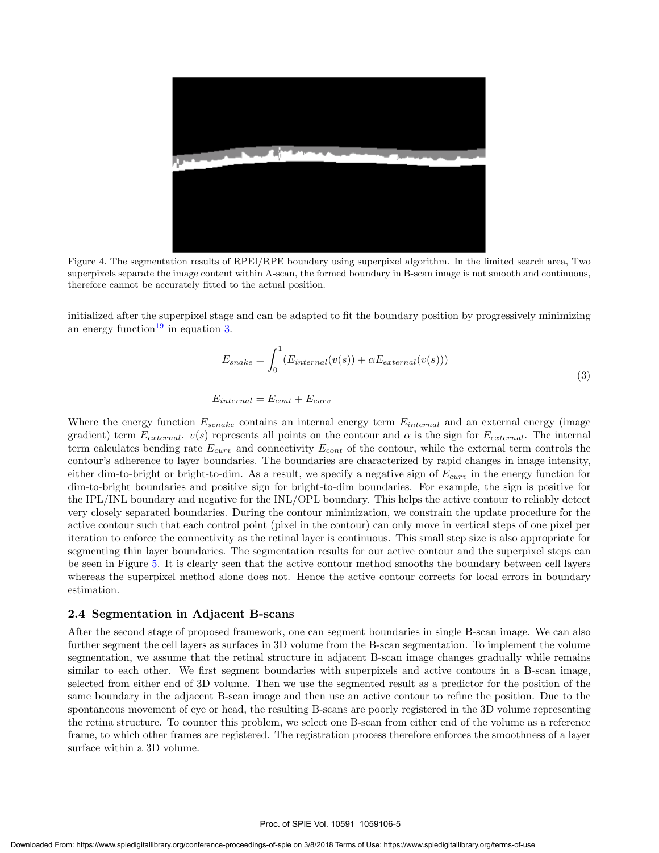

Figure 4. The segmentation results of RPEI/RPE boundary using superpixel algorithm. In the limited search area, Two superpixels separate the image content within A-scan, the formed boundary in B-scan image is not smooth and continuous, therefore cannot be accurately fitted to the actual position.

initialized after the superpixel stage and can be adapted to fit the boundary position by progressively minimizing an energy function<sup>19</sup> in equation 3.

$$
E_{snake} = \int_0^1 (E_{internal}(v(s)) + \alpha E_{external}(v(s)))
$$
\n(3)

$$
E_{internal} = E_{cont} + E_{curv}
$$

Where the energy function  $E_{scale}$  contains an internal energy term  $E_{internal}$  and an external energy (image gradient) term  $E_{external}$ .  $v(s)$  represents all points on the contour and  $\alpha$  is the sign for  $E_{external}$ . The internal term calculates bending rate  $E_{curv}$  and connectivity  $E_{cont}$  of the contour, while the external term controls the contour's adherence to layer boundaries. The boundaries are characterized by rapid changes in image intensity, either dim-to-bright or bright-to-dim. As a result, we specify a negative sign of  $E_{curv}$  in the energy function for dim-to-bright boundaries and positive sign for bright-to-dim boundaries. For example, the sign is positive for the IPL/INL boundary and negative for the INL/OPL boundary. This helps the active contour to reliably detect very closely separated boundaries. During the contour minimization, we constrain the update procedure for the active contour such that each control point (pixel in the contour) can only move in vertical steps of one pixel per iteration to enforce the connectivity as the retinal layer is continuous. This small step size is also appropriate for segmenting thin layer boundaries. The segmentation results for our active contour and the superpixel steps can be seen in Figure 5. It is clearly seen that the active contour method smooths the boundary between cell layers whereas the superpixel method alone does not. Hence the active contour corrects for local errors in boundary estimation.

#### 2.4 Segmentation in Adjacent B-scans

After the second stage of proposed framework, one can segment boundaries in single B-scan image. We can also further segment the cell layers as surfaces in 3D volume from the B-scan segmentation. To implement the volume segmentation, we assume that the retinal structure in adjacent B-scan image changes gradually while remains similar to each other. We first segment boundaries with superpixels and active contours in a B-scan image, selected from either end of 3D volume. Then we use the segmented result as a predictor for the position of the same boundary in the adjacent B-scan image and then use an active contour to refine the position. Due to the spontaneous movement of eye or head, the resulting B-scans are poorly registered in the 3D volume representing the retina structure. To counter this problem, we select one B-scan from either end of the volume as a reference frame, to which other frames are registered. The registration process therefore enforces the smoothness of a layer surface within a 3D volume.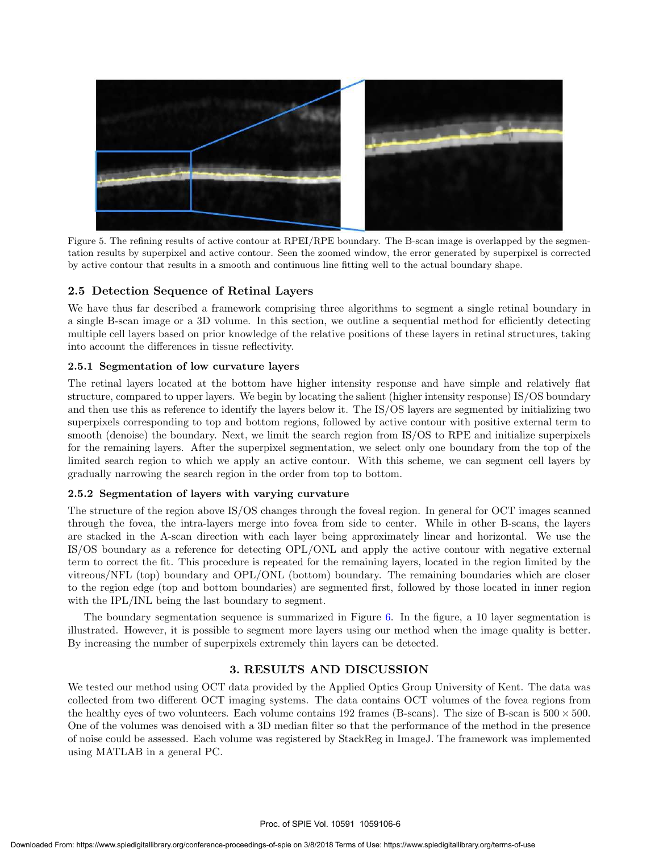

Figure 5. The refining results of active contour at RPEI/RPE boundary. The B-scan image is overlapped by the segmentation results by superpixel and active contour. Seen the zoomed window, the error generated by superpixel is corrected by active contour that results in a smooth and continuous line fitting well to the actual boundary shape.

#### 2.5 Detection Sequence of Retinal Layers

We have thus far described a framework comprising three algorithms to segment a single retinal boundary in a single B-scan image or a 3D volume. In this section, we outline a sequential method for efficiently detecting multiple cell layers based on prior knowledge of the relative positions of these layers in retinal structures, taking into account the differences in tissue reflectivity.

#### 2.5.1 Segmentation of low curvature layers

The retinal layers located at the bottom have higher intensity response and have simple and relatively flat structure, compared to upper layers. We begin by locating the salient (higher intensity response) IS/OS boundary and then use this as reference to identify the layers below it. The IS/OS layers are segmented by initializing two superpixels corresponding to top and bottom regions, followed by active contour with positive external term to smooth (denoise) the boundary. Next, we limit the search region from IS/OS to RPE and initialize superpixels for the remaining layers. After the superpixel segmentation, we select only one boundary from the top of the limited search region to which we apply an active contour. With this scheme, we can segment cell layers by gradually narrowing the search region in the order from top to bottom.

#### 2.5.2 Segmentation of layers with varying curvature

The structure of the region above IS/OS changes through the foveal region. In general for OCT images scanned through the fovea, the intra-layers merge into fovea from side to center. While in other B-scans, the layers are stacked in the A-scan direction with each layer being approximately linear and horizontal. We use the IS/OS boundary as a reference for detecting OPL/ONL and apply the active contour with negative external term to correct the fit. This procedure is repeated for the remaining layers, located in the region limited by the vitreous/NFL (top) boundary and OPL/ONL (bottom) boundary. The remaining boundaries which are closer to the region edge (top and bottom boundaries) are segmented first, followed by those located in inner region with the IPL/INL being the last boundary to segment.

The boundary segmentation sequence is summarized in Figure 6. In the figure, a 10 layer segmentation is illustrated. However, it is possible to segment more layers using our method when the image quality is better. By increasing the number of superpixels extremely thin layers can be detected.

#### 3. RESULTS AND DISCUSSION

We tested our method using OCT data provided by the Applied Optics Group University of Kent. The data was collected from two different OCT imaging systems. The data contains OCT volumes of the fovea regions from the healthy eyes of two volunteers. Each volume contains 192 frames (B-scans). The size of B-scan is  $500 \times 500$ . One of the volumes was denoised with a 3D median filter so that the performance of the method in the presence of noise could be assessed. Each volume was registered by StackReg in ImageJ. The framework was implemented using MATLAB in a general PC.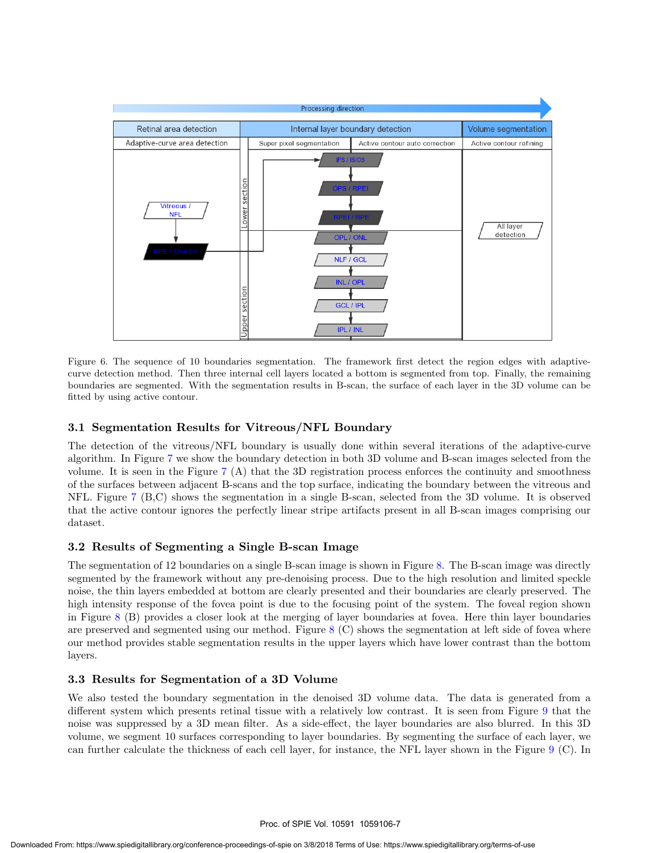

Figure 6. The sequence of 10 boundaries segmentation. The framework first detect the region edges with adaptivecurve detection method. Then three internal cell layers located a bottom is segmented from top. Finally, the remaining boundaries are segmented. With the segmentation results in B-scan, the surface of each layer in the 3D volume can be fitted by using active contour.

#### 3.1 Segmentation Results for Vitreous/NFL Boundary

The detection of the vitreous/NFL boundary is usually done within several iterations of the adaptive-curve algorithm. In Figure 7 we show the boundary detection in both 3D volume and B-scan images selected from the volume. It is seen in the Figure 7 (A) that the 3D registration process enforces the continuity and smoothness of the surfaces between adjacent B-scans and the top surface, indicating the boundary between the vitreous and NFL. Figure 7 (B,C) shows the segmentation in a single B-scan, selected from the 3D volume. It is observed that the active contour ignores the perfectly linear stripe artifacts present in all B-scan images comprising our dataset.

#### 3.2 Results of Segmenting a Single B-scan Image

The segmentation of 12 boundaries on a single B-scan image is shown in Figure 8. The B-scan image was directly segmented by the framework without any pre-denoising process. Due to the high resolution and limited speckle noise, the thin layers embedded at bottom are clearly presented and their boundaries are clearly preserved. The high intensity response of the fovea point is due to the focusing point of the system. The foveal region shown in Figure 8 (B) provides a closer look at the merging of layer boundaries at fovea. Here thin layer boundaries are preserved and segmented using our method. Figure  $8 \text{ (C)}$  shows the segmentation at left side of fovea where our method provides stable segmentation results in the upper layers which have lower contrast than the bottom layers.

#### 3.3 Results for Segmentation of a 3D Volume

We also tested the boundary segmentation in the denoised 3D volume data. The data is generated from a different system which presents retinal tissue with a relatively low contrast. It is seen from Figure 9 that the noise was suppressed by a 3D mean filter. As a side-effect, the layer boundaries are also blurred. In this 3D volume, we segment 10 surfaces corresponding to layer boundaries. By segmenting the surface of each layer, we can further calculate the thickness of each cell layer, for instance, the NFL layer shown in the Figure 9 (C). In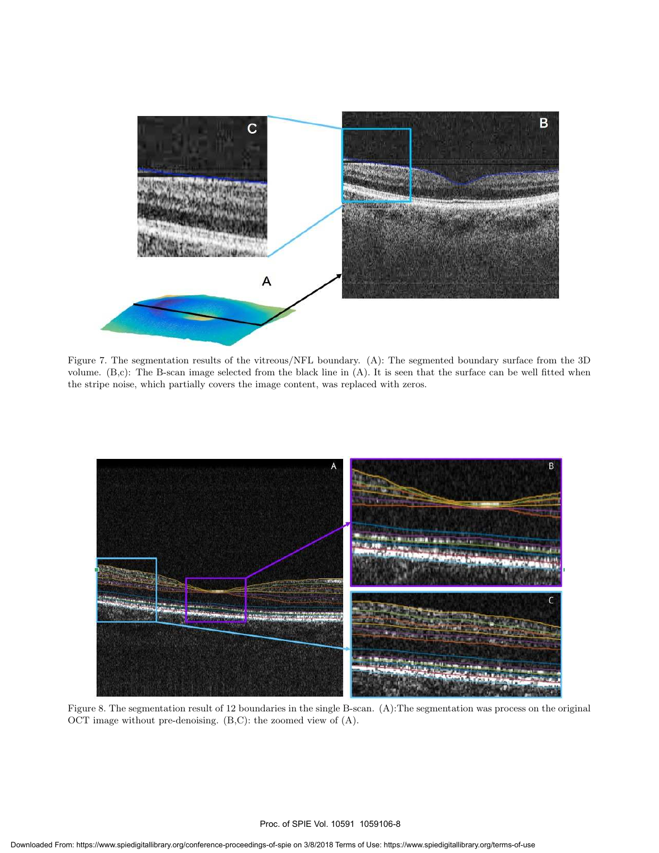

Figure 7. The segmentation results of the vitreous/NFL boundary. (A): The segmented boundary surface from the 3D volume. (B,c): The B-scan image selected from the black line in (A). It is seen that the surface can be well fitted when the stripe noise, which partially covers the image content, was replaced with zeros.



OCT image without pre-denoising. (B,C): the zoomed view of (A).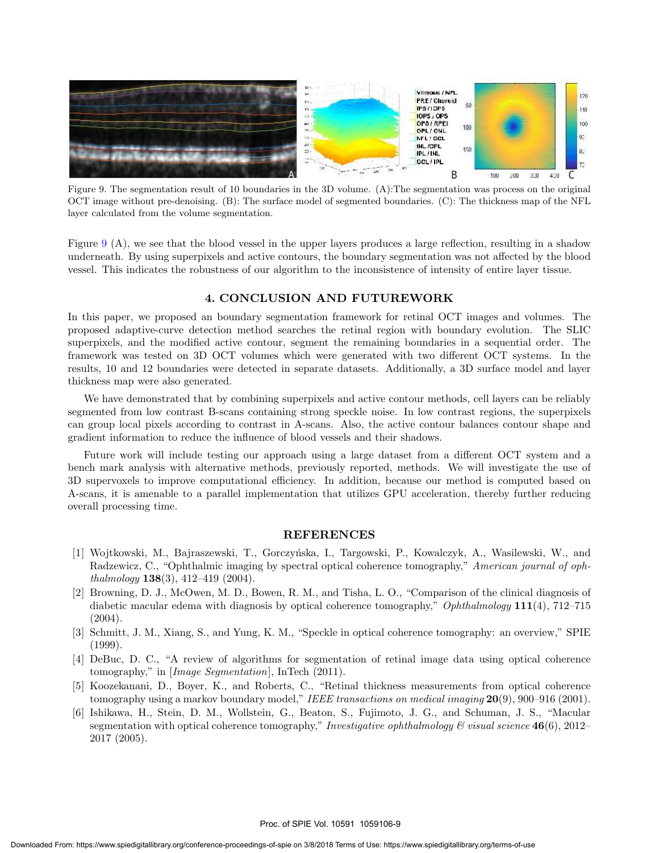

Figure 9. The segmentation result of 10 boundaries in the 3D volume. (A):The segmentation was process on the original OCT image without pre-denoising. (B): The surface model of segmented boundaries. (C): The thickness map of the NFL layer calculated from the volume segmentation.

Figure 9 (A), we see that the blood vessel in the upper layers produces a large reflection, resulting in a shadow underneath. By using superpixels and active contours, the boundary segmentation was not affected by the blood vessel. This indicates the robustness of our algorithm to the inconsistence of intensity of entire layer tissue.

#### 4. CONCLUSION AND FUTUREWORK

In this paper, we proposed an boundary segmentation framework for retinal OCT images and volumes. The proposed adaptive-curve detection method searches the retinal region with boundary evolution. The SLIC superpixels, and the modified active contour, segment the remaining boundaries in a sequential order. The framework was tested on 3D OCT volumes which were generated with two different OCT systems. In the results, 10 and 12 boundaries were detected in separate datasets. Additionally, a 3D surface model and layer thickness map were also generated.

We have demonstrated that by combining superpixels and active contour methods, cell layers can be reliably segmented from low contrast B-scans containing strong speckle noise. In low contrast regions, the superpixels can group local pixels according to contrast in A-scans. Also, the active contour balances contour shape and gradient information to reduce the influence of blood vessels and their shadows.

Future work will include testing our approach using a large dataset from a different OCT system and a bench mark analysis with alternative methods, previously reported, methods. We will investigate the use of 3D supervoxels to improve computational efficiency. In addition, because our method is computed based on A-scans, it is amenable to a parallel implementation that utilizes GPU acceleration, thereby further reducing overall processing time.

#### **REFERENCES**

- [1] Wojtkowski, M., Bajraszewski, T., Gorczy´nska, I., Targowski, P., Kowalczyk, A., Wasilewski, W., and Radzewicz, C., "Ophthalmic imaging by spectral optical coherence tomography," *American journal of ophthalmology* 138(3), 412–419 (2004).
- [2] Browning, D. J., McOwen, M. D., Bowen, R. M., and Tisha, L. O., "Comparison of the clinical diagnosis of diabetic macular edema with diagnosis by optical coherence tomography," *Ophthalmology* 111(4), 712–715  $(2004).$
- [3] Schmitt, J. M., Xiang, S., and Yung, K. M., "Speckle in optical coherence tomography: an overview," SPIE (1999).
- [4] DeBuc, D. C., "A review of algorithms for segmentation of retinal image data using optical coherence tomography," in [*Image Segmentation*], InTech (2011).
- [5] Koozekanani, D., Boyer, K., and Roberts, C., "Retinal thickness measurements from optical coherence tomography using a markov boundary model," *IEEE transactions on medical imaging* 20(9), 900–916 (2001).
- [6] Ishikawa, H., Stein, D. M., Wollstein, G., Beaton, S., Fujimoto, J. G., and Schuman, J. S., "Macular segmentation with optical coherence tomography," *Investigative ophthalmology*  $\mathcal{C}$  *visual science* 46(6), 2012– 2017 (2005).